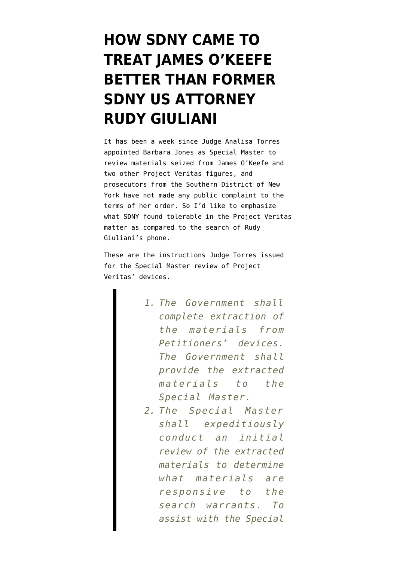## **[HOW SDNY CAME TO](https://www.emptywheel.net/2021/12/19/how-sdny-came-to-treat-james-okeefe-better-than-former-sdny-us-attorney-rudy-giuliani/) [TREAT JAMES O'KEEFE](https://www.emptywheel.net/2021/12/19/how-sdny-came-to-treat-james-okeefe-better-than-former-sdny-us-attorney-rudy-giuliani/) [BETTER THAN FORMER](https://www.emptywheel.net/2021/12/19/how-sdny-came-to-treat-james-okeefe-better-than-former-sdny-us-attorney-rudy-giuliani/) [SDNY US ATTORNEY](https://www.emptywheel.net/2021/12/19/how-sdny-came-to-treat-james-okeefe-better-than-former-sdny-us-attorney-rudy-giuliani/) [RUDY GIULIANI](https://www.emptywheel.net/2021/12/19/how-sdny-came-to-treat-james-okeefe-better-than-former-sdny-us-attorney-rudy-giuliani/)**

It has been a week since Judge Analisa Torres [appointed](https://storage.courtlistener.com/recap/gov.uscourts.nysd.569823/gov.uscourts.nysd.569823.48.0.pdf) Barbara Jones as Special Master to review materials seized from James O'Keefe and two other Project Veritas figures, and prosecutors from the Southern District of New York have not made any public complaint to the terms of her order. So I'd like to emphasize what SDNY found tolerable in the Project Veritas matter as compared to the search of Rudy Giuliani's phone.

These are the instructions Judge Torres issued for the Special Master review of Project Veritas' devices.

- *1. The Government shall complete extraction of the materials from Petitioners' devices. The Government shall provide the extracted materials to the Special Master.*
- *2. The Special Master shall expeditiously conduct an initial review of the extracted materials to determine what materials are responsive to the search warrants. To assist with the Special*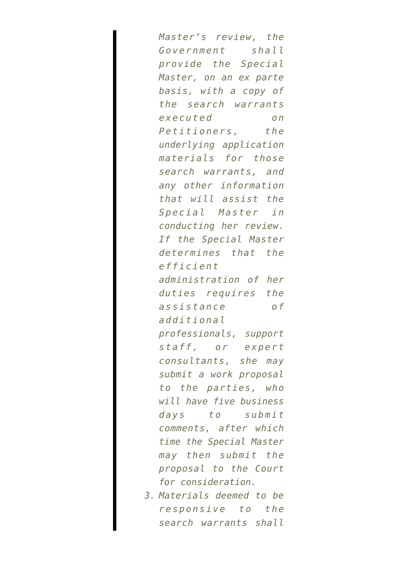*Master's review, the Government shall provide the Special Master, on an ex parte basis, with a copy of the search warrants executed on Petitioners, the underlying application materials for those search warrants, and any other information that will assist the Special Master in conducting her review. If the Special Master determines that the efficient administration of her duties requires the assistance of additional professionals, support staff, or expert consultants, she may submit a work proposal to the parties, who will have five business days to submit comments, after which time the Special Master may then submit the proposal to the Court for consideration.*

*3. Materials deemed to be responsive to the search warrants shall*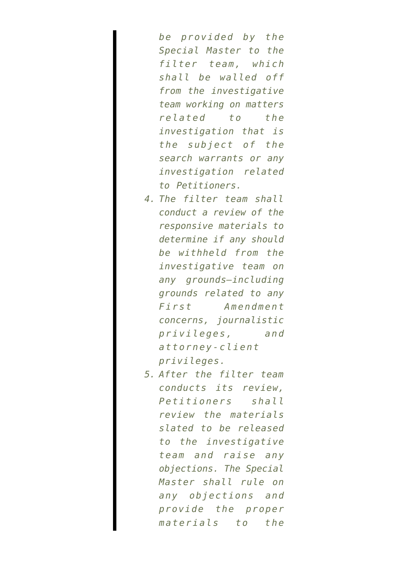*be provided by the Special Master to the filter team, which shall be walled off from the investigative team working on matters related to the investigation that is the subject of the search warrants or any investigation related to Petitioners.*

- *4. The filter team shall conduct a review of the responsive materials to determine if any should be withheld from the investigative team on any grounds—including grounds related to any First Amendment concerns, journalistic privileges, and attorney-client privileges.*
- *5. After the filter team conducts its review, Petitioners shall review the materials slated to be released to the investigative team and raise any objections. The Special Master shall rule on any objections and provide the proper materials to the*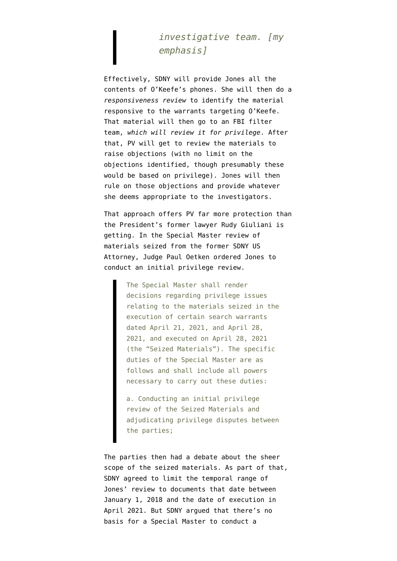## *investigative team. [my emphasis]*

Effectively, SDNY will provide Jones all the contents of O'Keefe's phones. She will then do a *responsiveness review* to identify the material responsive to the warrants targeting O'Keefe. That material will then go to an FBI filter team, *which will review it for privilege*. After that, PV will get to review the materials to raise objections (with no limit on the objections identified, though presumably these would be based on privilege). Jones will then rule on those objections and provide whatever she deems appropriate to the investigators.

That approach offers PV far more protection than the President's former lawyer Rudy Giuliani is getting. In the Special Master review of materials seized from the former SDNY US Attorney, Judge Paul Oetken [ordered](https://storage.courtlistener.com/recap/gov.uscourts.nysd.559603/gov.uscourts.nysd.559603.25.0.pdf) Jones to conduct an initial privilege review.

> The Special Master shall render decisions regarding privilege issues relating to the materials seized in the execution of certain search warrants dated April 21, 2021, and April 28, 2021, and executed on April 28, 2021 (the "Seized Materials"). The specific duties of the Special Master are as follows and shall include all powers necessary to carry out these duties:

> a. Conducting an initial privilege review of the Seized Materials and adjudicating privilege disputes between the parties;

The parties then had a debate about the sheer scope of the seized materials. As part of that, SDNY [agreed](https://storage.courtlistener.com/recap/gov.uscourts.nysd.559603/gov.uscourts.nysd.559603.43.0.pdf) to limit the temporal range of Jones' review to documents that date between January 1, 2018 and the date of execution in April 2021. But SDNY argued that there's no basis for a Special Master to conduct a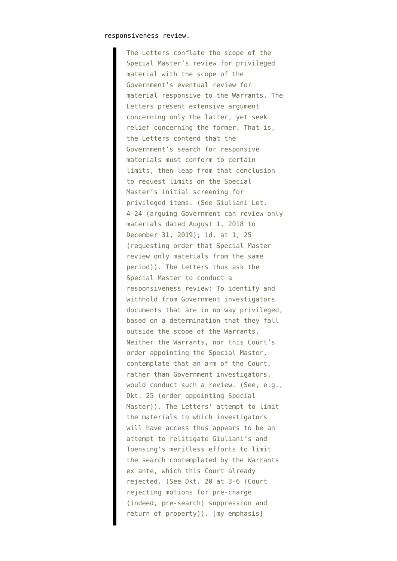## responsiveness review.

The Letters conflate the scope of the Special Master's review for privileged material with the scope of the Government's eventual review for material responsive to the Warrants. The Letters present extensive argument concerning only the latter, yet seek relief concerning the former. That is, the Letters contend that the Government's search for responsive materials must conform to certain limits, then leap from that conclusion to request limits on the Special Master's initial screening for privileged items. (See Giuliani Let. 4-24 (arguing Government can review only materials dated August 1, 2018 to December 31, 2019); id. at 1, 25 (requesting order that Special Master review only materials from the same period)). The Letters thus ask the Special Master to conduct a responsiveness review: To identify and withhold from Government investigators documents that are in no way privileged, based on a determination that they fall outside the scope of the Warrants. Neither the Warrants, nor this Court's order appointing the Special Master, contemplate that an arm of the Court, rather than Government investigators, would conduct such a review. (See, e.g., Dkt. 25 (order appointing Special Master)). The Letters' attempt to limit the materials to which investigators will have access thus appears to be an attempt to relitigate Giuliani's and Toensing's meritless efforts to limit the search contemplated by the Warrants ex ante, which this Court already rejected. (See Dkt. 20 at 3-6 (Court rejecting motions for pre-charge (indeed, pre-search) suppression and return of property)). [my emphasis]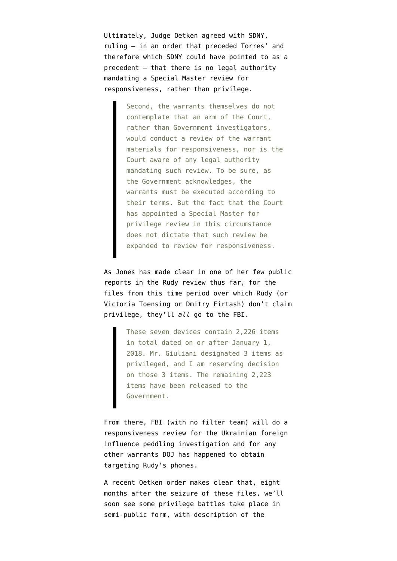Ultimately, Judge Oetken agreed with SDNY, [ruling](https://storage.courtlistener.com/recap/gov.uscourts.nysd.559603/gov.uscourts.nysd.559603.31.0_1.pdf) — in an order that preceded Torres' and therefore which SDNY could have pointed to as a precedent — that there is no legal authority mandating a Special Master review for responsiveness, rather than privilege.

> Second, the warrants themselves do not contemplate that an arm of the Court, rather than Government investigators, would conduct a review of the warrant materials for responsiveness, nor is the Court aware of any legal authority mandating such review. To be sure, as the Government acknowledges, the warrants must be executed according to their terms. But the fact that the Court has appointed a Special Master for privilege review in this circumstance does not dictate that such review be expanded to review for responsiveness.

As [Jones has made clear](https://storage.courtlistener.com/recap/gov.uscourts.nysd.559603/gov.uscourts.nysd.559603.48.0.pdf) in one of her few public reports in the Rudy review thus far, for the files from this time period over which Rudy (or Victoria Toensing or Dmitry Firtash) don't claim privilege, they'll *all* go to the FBI.

> These seven devices contain 2,226 items in total dated on or after January 1, 2018. Mr. Giuliani designated 3 items as privileged, and I am reserving decision on those 3 items. The remaining 2,223 items have been released to the Government.

From there, FBI (with no filter team) will do a responsiveness review for the Ukrainian foreign influence peddling investigation and for any other warrants DOJ has happened to obtain targeting Rudy's phones.

A recent Oetken order makes clear that, eight months after the seizure of these files, we'll [soon see some privilege battles](https://storage.courtlistener.com/recap/gov.uscourts.nysd.559603/gov.uscourts.nysd.559603.49.0.pdf) take place in semi-public form, with description of the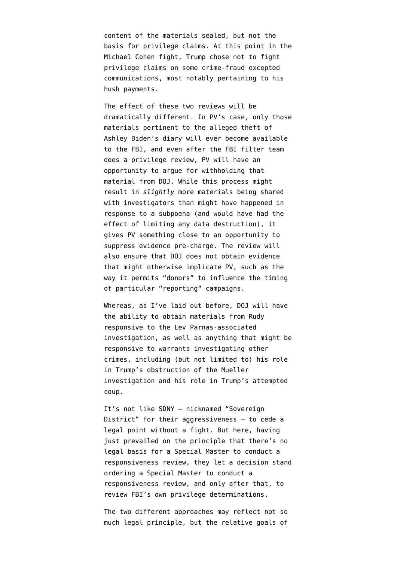content of the materials sealed, but not the basis for privilege claims. At this point in the Michael Cohen fight, Trump chose not to fight privilege claims on some crime-fraud excepted communications, most notably pertaining to his hush payments.

The effect of these two reviews will be dramatically different. In PV's case, only those materials pertinent to the alleged theft of Ashley Biden's diary will ever become available to the FBI, and even after the FBI filter team does a privilege review, PV will have an opportunity to argue for withholding that material from DOJ. While this process might result in *slightly* more materials being shared with investigators than might have happened in response to a subpoena (and would have had the effect of limiting any data destruction), it gives PV something close to an opportunity to suppress evidence pre-charge. The review will also ensure that DOJ does not obtain evidence that might otherwise implicate PV, such as the way it permits "donors" to influence the timing of particular "reporting" campaigns.

Whereas, [as I've laid out before,](https://www.emptywheel.net/2021/12/05/rudys-phones-defy-guarantees-wed-know-of-an-investigation-into-trump/) DOJ will have the ability to obtain materials from Rudy responsive to the Lev Parnas-associated investigation, as well as anything that might be responsive to warrants investigating other crimes, including (but not limited to) his role in Trump's obstruction of the Mueller investigation and his role in Trump's attempted coup.

It's not like SDNY — nicknamed "Sovereign District" for their aggressiveness - to cede a legal point without a fight. But here, having just prevailed on the principle that there's no legal basis for a Special Master to conduct a responsiveness review, they let a decision stand ordering a Special Master to conduct a responsiveness review, and only after that, to review FBI's own privilege determinations.

The two different approaches may reflect not so much legal principle, but the relative goals of